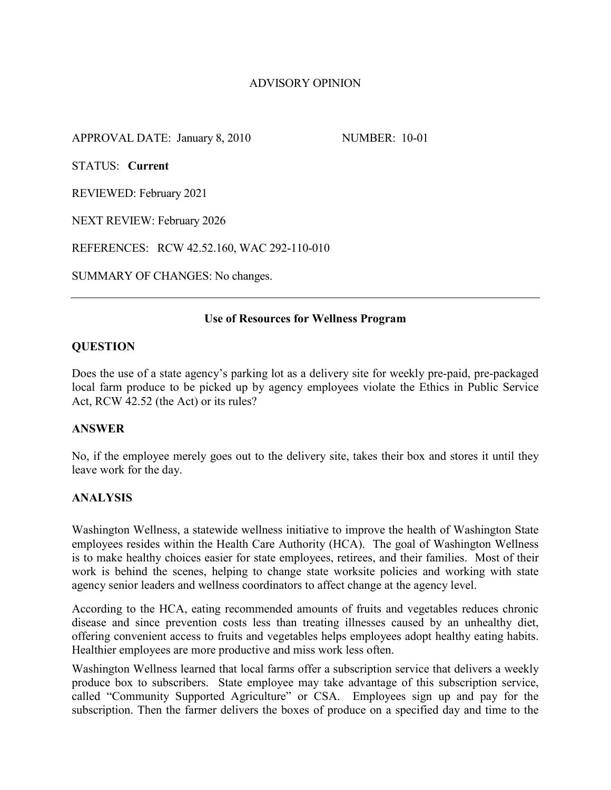# ADVISORY OPINION

APPROVAL DATE: January 8, 2010 NUMBER: 10-01

STATUS: **Current**

REVIEWED: February 2021

NEXT REVIEW: February 2026

REFERENCES: RCW 42.52.160, WAC 292-110-010

SUMMARY OF CHANGES: No changes.

### **Use of Resources for Wellness Program**

## **QUESTION**

Does the use of a state agency's parking lot as a delivery site for weekly pre-paid, pre-packaged local farm produce to be picked up by agency employees violate the Ethics in Public Service Act, RCW 42.52 (the Act) or its rules?

## **ANSWER**

No, if the employee merely goes out to the delivery site, takes their box and stores it until they leave work for the day.

## **ANALYSIS**

Washington Wellness, a statewide wellness initiative to improve the health of Washington State employees resides within the Health Care Authority (HCA). The goal of Washington Wellness is to make healthy choices easier for state employees, retirees, and their families. Most of their work is behind the scenes, helping to change state worksite policies and working with state agency senior leaders and wellness coordinators to affect change at the agency level.

According to the HCA, eating recommended amounts of fruits and vegetables reduces chronic disease and since prevention costs less than treating illnesses caused by an unhealthy diet, offering convenient access to fruits and vegetables helps employees adopt healthy eating habits. Healthier employees are more productive and miss work less often.

Washington Wellness learned that local farms offer a subscription service that delivers a weekly produce box to subscribers. State employee may take advantage of this subscription service, called "Community Supported Agriculture" or CSA. Employees sign up and pay for the subscription. Then the farmer delivers the boxes of produce on a specified day and time to the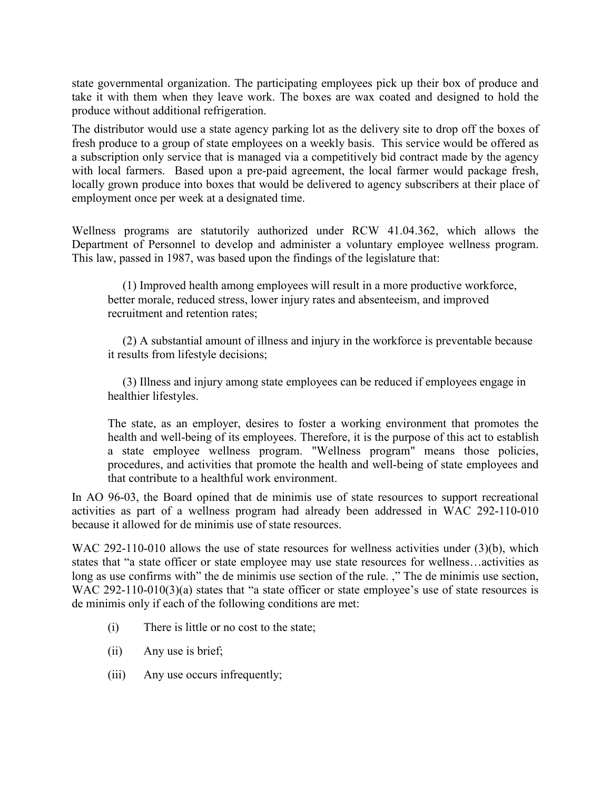state governmental organization. The participating employees pick up their box of produce and take it with them when they leave work. The boxes are wax coated and designed to hold the produce without additional refrigeration.

The distributor would use a state agency parking lot as the delivery site to drop off the boxes of fresh produce to a group of state employees on a weekly basis. This service would be offered as a subscription only service that is managed via a competitively bid contract made by the agency with local farmers. Based upon a pre-paid agreement, the local farmer would package fresh, locally grown produce into boxes that would be delivered to agency subscribers at their place of employment once per week at a designated time.

Wellness programs are statutorily authorized under RCW 41.04.362, which allows the Department of Personnel to develop and administer a voluntary employee wellness program. This law, passed in 1987, was based upon the findings of the legislature that:

 (1) Improved health among employees will result in a more productive workforce, better morale, reduced stress, lower injury rates and absenteeism, and improved recruitment and retention rates;

 (2) A substantial amount of illness and injury in the workforce is preventable because it results from lifestyle decisions;

 (3) Illness and injury among state employees can be reduced if employees engage in healthier lifestyles.

The state, as an employer, desires to foster a working environment that promotes the health and well-being of its employees. Therefore, it is the purpose of this act to establish a state employee wellness program. "Wellness program" means those policies, procedures, and activities that promote the health and well-being of state employees and that contribute to a healthful work environment.

In AO 96-03, the Board opined that de minimis use of state resources to support recreational activities as part of a wellness program had already been addressed in WAC 292-110-010 because it allowed for de minimis use of state resources.

WAC 292-110-010 allows the use of state resources for wellness activities under (3)(b), which states that "a state officer or state employee may use state resources for wellness…activities as long as use confirms with" the de minimis use section of the rule. ," The de minimis use section, WAC 292-110-010(3)(a) states that "a state officer or state employee's use of state resources is de minimis only if each of the following conditions are met:

- (i) There is little or no cost to the state;
- (ii) Any use is brief;
- (iii) Any use occurs infrequently;